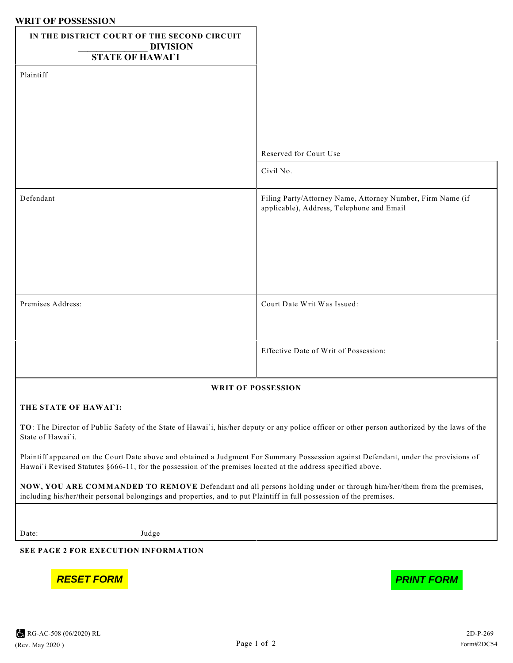## **WRIT OF POSSESSION**

| <b>WITH OL LOPPEPPIOL</b><br>IN THE DISTRICT COURT OF THE SECOND CIRCUIT<br><b>DIVISION</b>                                                                                                                                                          |                                                                                                         |
|------------------------------------------------------------------------------------------------------------------------------------------------------------------------------------------------------------------------------------------------------|---------------------------------------------------------------------------------------------------------|
| <b>STATE OF HAWAIT</b>                                                                                                                                                                                                                               |                                                                                                         |
| Plaintiff                                                                                                                                                                                                                                            |                                                                                                         |
|                                                                                                                                                                                                                                                      |                                                                                                         |
|                                                                                                                                                                                                                                                      |                                                                                                         |
|                                                                                                                                                                                                                                                      | Reserved for Court Use                                                                                  |
|                                                                                                                                                                                                                                                      | Civil No.                                                                                               |
| Defendant                                                                                                                                                                                                                                            | Filing Party/Attorney Name, Attorney Number, Firm Name (if<br>applicable), Address, Telephone and Email |
|                                                                                                                                                                                                                                                      |                                                                                                         |
|                                                                                                                                                                                                                                                      |                                                                                                         |
|                                                                                                                                                                                                                                                      |                                                                                                         |
| Premises Address:                                                                                                                                                                                                                                    | Court Date Writ Was Issued:                                                                             |
|                                                                                                                                                                                                                                                      |                                                                                                         |
|                                                                                                                                                                                                                                                      | Effective Date of Writ of Possession:                                                                   |
|                                                                                                                                                                                                                                                      |                                                                                                         |
| <b>WRIT OF POSSESSION</b>                                                                                                                                                                                                                            |                                                                                                         |
| THE STATE OF HAWAI'I:                                                                                                                                                                                                                                |                                                                                                         |
| TO: The Director of Public Safety of the State of Hawai'i, his/her deputy or any police officer or other person authorized by the laws of the<br>State of Hawai'i.                                                                                   |                                                                                                         |
| Plaintiff appeared on the Court Date above and obtained a Judgment For Summary Possession against Defendant, under the provisions of<br>Hawai'i Revised Statutes §666-11, for the possession of the premises located at the address specified above. |                                                                                                         |
| NOW, YOU ARE COMMANDED TO REMOVE Defendant and all persons holding under or through him/her/them from the premises,<br>including his/her/their personal belongings and properties, and to put Plaintiff in full possession of the premises.          |                                                                                                         |
|                                                                                                                                                                                                                                                      |                                                                                                         |

Date: Judge

**SEE PAGE 2 FOR EXECUTION INFORMATION**